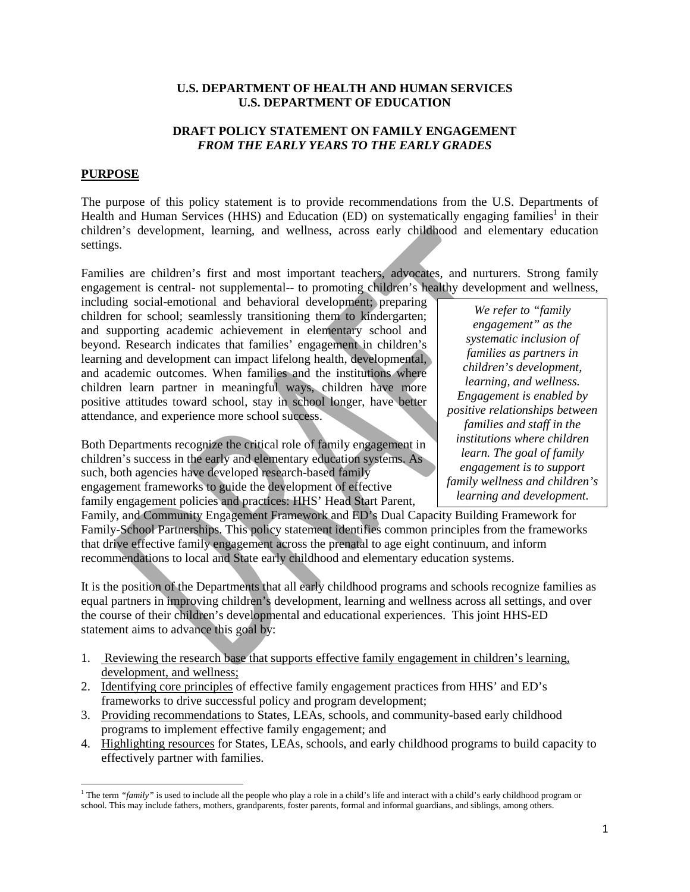#### **U.S. DEPARTMENT OF HEALTH AND HUMAN SERVICES U.S. DEPARTMENT OF EDUCATION**

# **DRAFT POLICY STATEMENT ON FAMILY ENGAGEMENT**  *FROM THE EARLY YEARS TO THE EARLY GRADES*

## **PURPOSE**

The purpose of this policy statement is to provide recommendations from the U.S. Departments of Health and Human Services (HHS) and Education (ED) on systematically engaging families<sup>1</sup> in their children's development, learning, and wellness, across early childhood and elementary education settings.

Families are children's first and most important teachers, advocates, and nurturers. Strong family engagement is central- not supplemental-- to promoting children's healthy development and wellness,

including social-emotional and behavioral development; preparing children for school; seamlessly transitioning them to kindergarten; and supporting academic achievement in elementary school and beyond. Research indicates that families' engagement in children's learning and development can impact lifelong health, developmental, and academic outcomes. When families and the institutions where children learn partner in meaningful ways, children have more positive attitudes toward school, stay in school longer, have better attendance, and experience more school success.

Both Departments recognize the critical role of family engagement in children's success in the early and elementary education systems. As such, both agencies have developed research-based family engagement frameworks to guide the development of effective family engagement policies and practices: HHS' Head Start Parent,

*We refer to "family engagement" as the systematic inclusion of families as partners in children's development, learning, and wellness. Engagement is enabled by positive relationships between families and staff in the institutions where children learn. The goal of family engagement is to support family wellness and children's learning and development.*

Family, and Community Engagement Framework and ED's Dual Capacity Building Framework for Family-School Partnerships. This policy statement identifies common principles from the frameworks that drive effective family engagement across the prenatal to age eight continuum, and inform recommendations to local and State early childhood and elementary education systems.

It is the position of the Departments that all early childhood programs and schools recognize families as equal partners in improving children's development, learning and wellness across all settings, and over the course of their children's developmental and educational experiences. This joint HHS-ED statement aims to advance this goal by:

- 1. Reviewing the research base that supports effective family engagement in children's learning, development, and wellness;
- 2. Identifying core principles of effective family engagement practices from HHS' and ED's frameworks to drive successful policy and program development;
- 3. Providing recommendations to States, LEAs, schools, and community-based early childhood programs to implement effective family engagement; and
- 4. Highlighting resources for States, LEAs, schools, and early childhood programs to build capacity to effectively partner with families.

<sup>&</sup>lt;sup>1</sup> The term "*family*" is used to include all the people who play a role in a child's life and interact with a child's early childhood program or school. This may include fathers, mothers, grandparents, foster parents, formal and informal guardians, and siblings, among others.  $\overline{\phantom{a}}$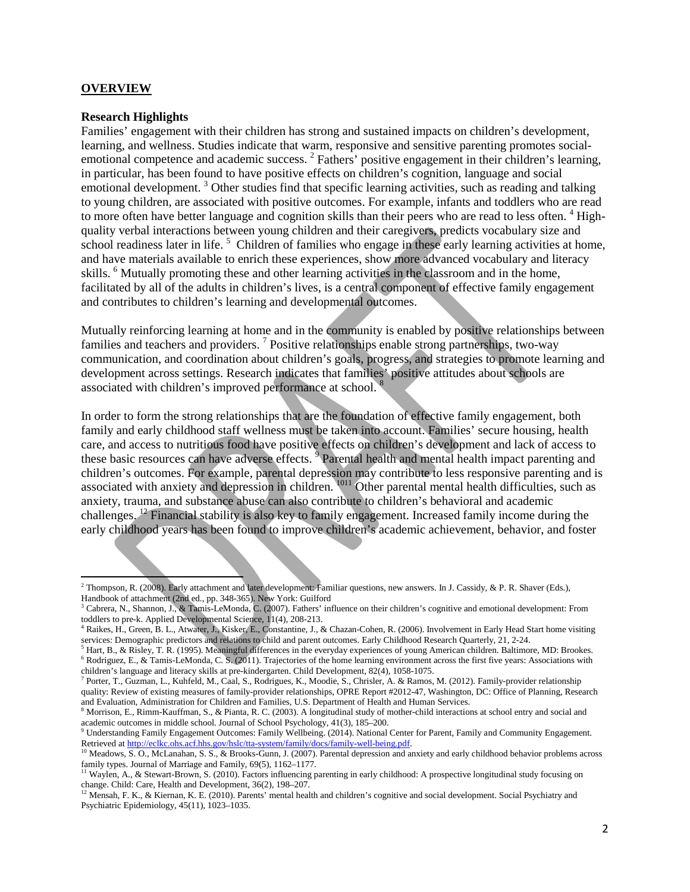#### **OVERVIEW**

l

#### **Research Highlights**

Families' engagement with their children has strong and sustained impacts on children's development, learning, and wellness. Studies indicate that warm, responsive and sensitive parenting promotes socialemotional competence and academic success. <sup>2</sup> Fathers' positive engagement in their children's learning, in particular, has been found to have positive effects on children's cognition, language and social emotional development.<sup>3</sup> Other studies find that specific learning activities, such as reading and talking to young children, are associated with positive outcomes. For example, infants and toddlers who are read to more often have better language and cognition skills than their peers who are read to less often. <sup>4</sup> Highquality verbal interactions between young children and their caregivers, predicts vocabulary size and school readiness later in life.<sup>5</sup> Children of families who engage in these early learning activities at home, and have materials available to enrich these experiences, show more advanced vocabulary and literacy skills. <sup>6</sup> Mutually promoting these and other learning activities in the classroom and in the home, facilitated by all of the adults in children's lives, is a central component of effective family engagement and contributes to children's learning and developmental outcomes.

Mutually reinforcing learning at home and in the community is enabled by positive relationships between families and teachers and providers.<sup>7</sup> Positive relationships enable strong partnerships, two-way communication, and coordination about children's goals, progress, and strategies to promote learning and development across settings. Research indicates that families' positive attitudes about schools are associated with children's improved performance at school. 8

In order to form the strong relationships that are the foundation of effective family engagement, both family and early childhood staff wellness must be taken into account. Families' secure housing, health care, and access to nutritious food have positive effects on children's development and lack of access to these basic resources can have adverse effects. <sup>9</sup> Parental health and mental health impact parenting and children's outcomes. For example, parental depression may contribute to less responsive parenting and is associated with anxiety and depression in children. <sup>1011</sup> Other parental mental health difficulties, such as anxiety, trauma, and substance abuse can also contribute to children's behavioral and academic challenges. 12 Financial stability is also key to family engagement. Increased family income during the early childhood years has been found to improve children's academic achievement, behavior, and foster

<sup>2</sup> Thompson, R. (2008). Early attachment and later development: Familiar questions, new answers. In J. Cassidy, & P. R. Shaver (Eds.), Handbook of attachment (2nd ed., pp. 348-365). New York: Guilford

<sup>&</sup>lt;sup>3</sup> Cabrera, N., Shannon, J., & Tamis-LeMonda, C. (2007). Fathers' influence on their children's cognitive and emotional development: From toddlers to pre-k. Applied Developmental Science, 11(4), 208-213.

<sup>&</sup>lt;sup>4</sup> Raikes, H., Green, B. L., Atwater, J., Kisker, E., Constantine, J., & Chazan-Cohen, R. (2006). Involvement in Early Head Start home visiting services: Demographic predictors and relations to child and parent outcomes.

<sup>&</sup>lt;sup>5</sup> Hart, B., & Risley, T. R. (1995). Meaningful differences in the everyday experiences of young American children. Baltimore, MD: Brookes. <sup>6</sup> Rodriguez, E., & Tamis-LeMonda, C. S. (2011). Trajectories of the home learning environment across the first five years: Associations with

<sup>&</sup>lt;sup>7</sup> Porter, T., Guzman, L., Kuhfeld, M., Caal, S., Rodrigues, K., Moodie, S., Chrisler, A. & Ramos, M. (2012). Family-provider relationship quality: Review of existing measures of family-provider relationships, OPRE Report #2012-47, Washington, DC: Office of Planning, Research and Evaluation, Administration for Children and Families, U.S. Department of Health and Human Services.

<sup>8</sup> Morrison, E., Rimm-Kauffman, S., & Pianta, R. C. (2003). A longitudinal study of mother-child interactions at school entry and social and academic outcomes in middle school. Journal of School Psychology, 41(3), 185–200.

<sup>9</sup> Understanding Family Engagement Outcomes: Family Wellbeing. (2014). National Center for Parent, Family and Community Engagement.

Retrieved at http://eclkc.ohs.acf.hhs.gov/hslc/tta-system/family/docs/family-well-being.pdf.<br>
<sup>10</sup> Meadows, S. O., McLanahan, S. S., & Brooks-Gunn, J. (2007). Parental depression and anxiety and early childhood behavior pr

<sup>&</sup>lt;sup>11</sup> Waylen, A., & Stewart-Brown, S. (2010). Factors influencing parenting in early childhood: A prospective longitudinal study focusing on change. Child: Care, Health and Development, 36(2), 198–207. 1<br><sup>12</sup> Mensah, F. K., & Kiernan, K. E. (2010). Parents' mental health and children's cognitive and social development. Social Psychiatry and

Psychiatric Epidemiology, 45(11), 1023–1035.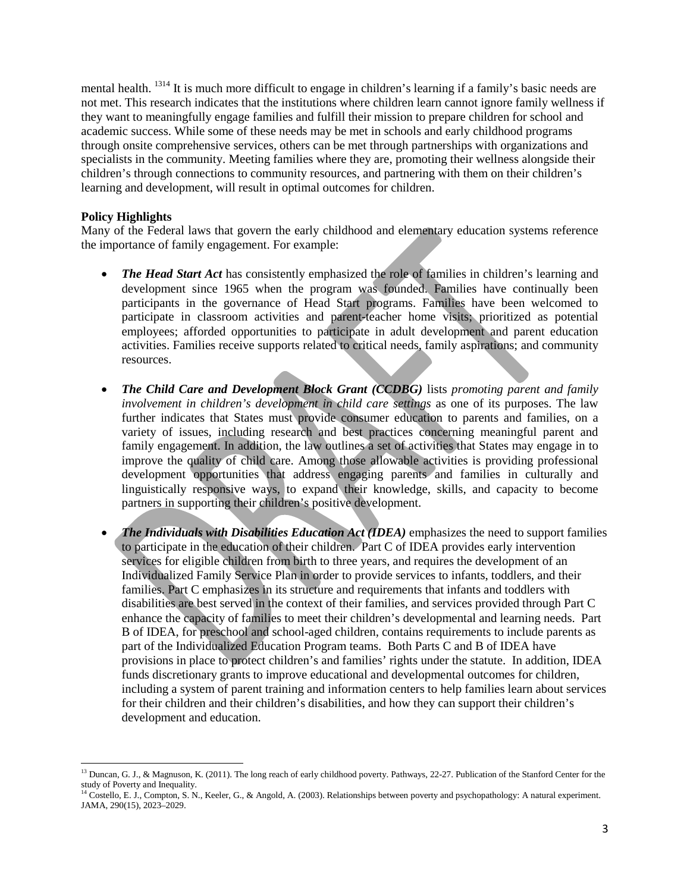mental health. <sup>1314</sup> It is much more difficult to engage in children's learning if a family's basic needs are not met. This research indicates that the institutions where children learn cannot ignore family wellness if they want to meaningfully engage families and fulfill their mission to prepare children for school and academic success. While some of these needs may be met in schools and early childhood programs through onsite comprehensive services, others can be met through partnerships with organizations and specialists in the community. Meeting families where they are, promoting their wellness alongside their children's through connections to community resources, and partnering with them on their children's learning and development, will result in optimal outcomes for children.

#### **Policy Highlights**

 $\overline{\phantom{a}}$ 

Many of the Federal laws that govern the early childhood and elementary education systems reference the importance of family engagement. For example:

- *The Head Start Act* has consistently emphasized the role of families in children's learning and development since 1965 when the program was founded. Families have continually been participants in the governance of Head Start programs. Families have been welcomed to participate in classroom activities and parent-teacher home visits; prioritized as potential employees; afforded opportunities to participate in adult development and parent education activities. Families receive supports related to critical needs, family aspirations; and community resources.
- *The Child Care and Development Block Grant (CCDBG)* lists *promoting parent and family involvement in children's development in child care settings* as one of its purposes. The law further indicates that States must provide consumer education to parents and families, on a variety of issues, including research and best practices concerning meaningful parent and family engagement. In addition, the law outlines a set of activities that States may engage in to improve the quality of child care. Among those allowable activities is providing professional development opportunities that address engaging parents and families in culturally and linguistically responsive ways, to expand their knowledge, skills, and capacity to become partners in supporting their children's positive development.
- *The Individuals with Disabilities Education Act (IDEA)* emphasizes the need to support families to participate in the education of their children. Part C of IDEA provides early intervention services for eligible children from birth to three years, and requires the development of an Individualized Family Service Plan in order to provide services to infants, toddlers, and their families. Part C emphasizes in its structure and requirements that infants and toddlers with disabilities are best served in the context of their families, and services provided through Part C enhance the capacity of families to meet their children's developmental and learning needs. Part B of IDEA, for preschool and school-aged children, contains requirements to include parents as part of the Individualized Education Program teams. Both Parts C and B of IDEA have provisions in place to protect children's and families' rights under the statute. In addition, IDEA funds discretionary grants to improve educational and developmental outcomes for children, including a system of parent training and information centers to help families learn about services for their children and their children's disabilities, and how they can support their children's development and education.

<sup>&</sup>lt;sup>13</sup> Duncan, G. J., & Magnuson, K. (2011). The long reach of early childhood poverty. Pathways, 22-27. Publication of the Stanford Center for the study of Poverty and Inequality.

<sup>&</sup>lt;sup>14</sup> Costello, E. J., Compton, S. N., Keeler, G., & Angold, A. (2003). Relationships between poverty and psychopathology: A natural experiment. JAMA, 290(15), 2023–2029.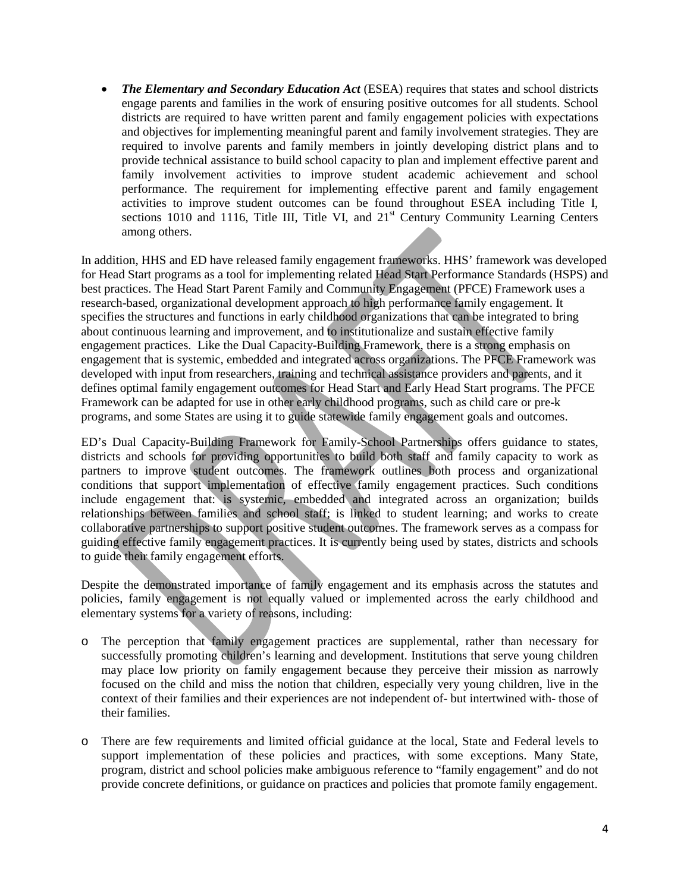• *The Elementary and Secondary Education Act* (ESEA) requires that states and school districts engage parents and families in the work of ensuring positive outcomes for all students. School districts are required to have written parent and family engagement policies with expectations and objectives for implementing meaningful parent and family involvement strategies. They are required to involve parents and family members in jointly developing district plans and to provide technical assistance to build school capacity to plan and implement effective parent and family involvement activities to improve student academic achievement and school performance. The requirement for implementing effective parent and family engagement activities to improve student outcomes can be found throughout ESEA including Title I, sections 1010 and 1116, Title III, Title VI, and 21<sup>st</sup> Century Community Learning Centers among others.

In addition, HHS and ED have released family engagement frameworks. HHS' framework was developed for Head Start programs as a tool for implementing related Head Start Performance Standards (HSPS) and best practices. The Head Start Parent Family and Community Engagement (PFCE) Framework uses a research-based, organizational development approach to high performance family engagement. It specifies the structures and functions in early childhood organizations that can be integrated to bring about continuous learning and improvement, and to institutionalize and sustain effective family engagement practices. Like the Dual Capacity-Building Framework, there is a strong emphasis on engagement that is systemic, embedded and integrated across organizations. The PFCE Framework was developed with input from researchers, training and technical assistance providers and parents, and it defines optimal family engagement outcomes for Head Start and Early Head Start programs. The PFCE Framework can be adapted for use in other early childhood programs, such as child care or pre-k programs, and some States are using it to guide statewide family engagement goals and outcomes.

ED's Dual Capacity-Building Framework for Family-School Partnerships offers guidance to states, districts and schools for providing opportunities to build both staff and family capacity to work as partners to improve student outcomes. The framework outlines both process and organizational conditions that support implementation of effective family engagement practices. Such conditions include engagement that: is systemic, embedded and integrated across an organization; builds relationships between families and school staff; is linked to student learning; and works to create collaborative partnerships to support positive student outcomes. The framework serves as a compass for guiding effective family engagement practices. It is currently being used by states, districts and schools to guide their family engagement efforts.

Despite the demonstrated importance of family engagement and its emphasis across the statutes and policies, family engagement is not equally valued or implemented across the early childhood and elementary systems for a variety of reasons, including:

- o The perception that family engagement practices are supplemental, rather than necessary for successfully promoting children's learning and development. Institutions that serve young children may place low priority on family engagement because they perceive their mission as narrowly focused on the child and miss the notion that children, especially very young children, live in the context of their families and their experiences are not independent of- but intertwined with- those of their families.
- o There are few requirements and limited official guidance at the local, State and Federal levels to support implementation of these policies and practices, with some exceptions. Many State, program, district and school policies make ambiguous reference to "family engagement" and do not provide concrete definitions, or guidance on practices and policies that promote family engagement.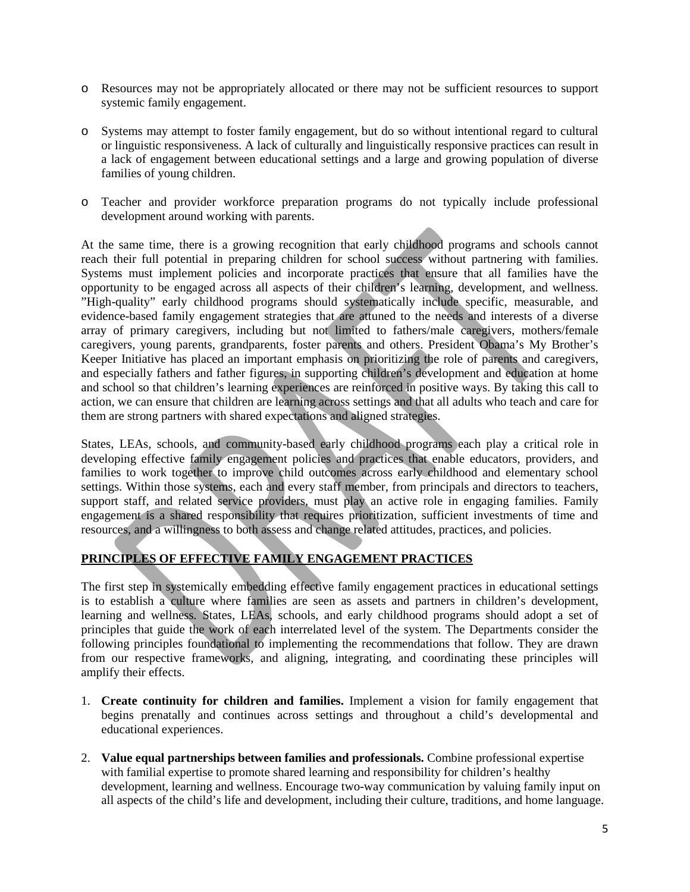- o Resources may not be appropriately allocated or there may not be sufficient resources to support systemic family engagement.
- o Systems may attempt to foster family engagement, but do so without intentional regard to cultural or linguistic responsiveness. A lack of culturally and linguistically responsive practices can result in a lack of engagement between educational settings and a large and growing population of diverse families of young children.
- o Teacher and provider workforce preparation programs do not typically include professional development around working with parents.

At the same time, there is a growing recognition that early childhood programs and schools cannot reach their full potential in preparing children for school success without partnering with families. Systems must implement policies and incorporate practices that ensure that all families have the opportunity to be engaged across all aspects of their children's learning, development, and wellness. "High-quality" early childhood programs should systematically include specific, measurable, and evidence-based family engagement strategies that are attuned to the needs and interests of a diverse array of primary caregivers, including but not limited to fathers/male caregivers, mothers/female caregivers, young parents, grandparents, foster parents and others. President Obama's My Brother's Keeper Initiative has placed an important emphasis on prioritizing the role of parents and caregivers, and especially fathers and father figures, in supporting children's development and education at home and school so that children's learning experiences are reinforced in positive ways. By taking this call to action, we can ensure that children are learning across settings and that all adults who teach and care for them are strong partners with shared expectations and aligned strategies.

States, LEAs, schools, and community-based early childhood programs each play a critical role in developing effective family engagement policies and practices that enable educators, providers, and families to work together to improve child outcomes across early childhood and elementary school settings. Within those systems, each and every staff member, from principals and directors to teachers, support staff, and related service providers, must play an active role in engaging families. Family engagement is a shared responsibility that requires prioritization, sufficient investments of time and resources, and a willingness to both assess and change related attitudes, practices, and policies.

# **PRINCIPLES OF EFFECTIVE FAMILY ENGAGEMENT PRACTICES**

The first step in systemically embedding effective family engagement practices in educational settings is to establish a culture where families are seen as assets and partners in children's development, learning and wellness. States, LEAs, schools, and early childhood programs should adopt a set of principles that guide the work of each interrelated level of the system. The Departments consider the following principles foundational to implementing the recommendations that follow. They are drawn from our respective frameworks, and aligning, integrating, and coordinating these principles will amplify their effects.

- 1. **Create continuity for children and families.** Implement a vision for family engagement that begins prenatally and continues across settings and throughout a child's developmental and educational experiences.
- 2. **Value equal partnerships between families and professionals.** Combine professional expertise with familial expertise to promote shared learning and responsibility for children's healthy development, learning and wellness. Encourage two-way communication by valuing family input on all aspects of the child's life and development, including their culture, traditions, and home language.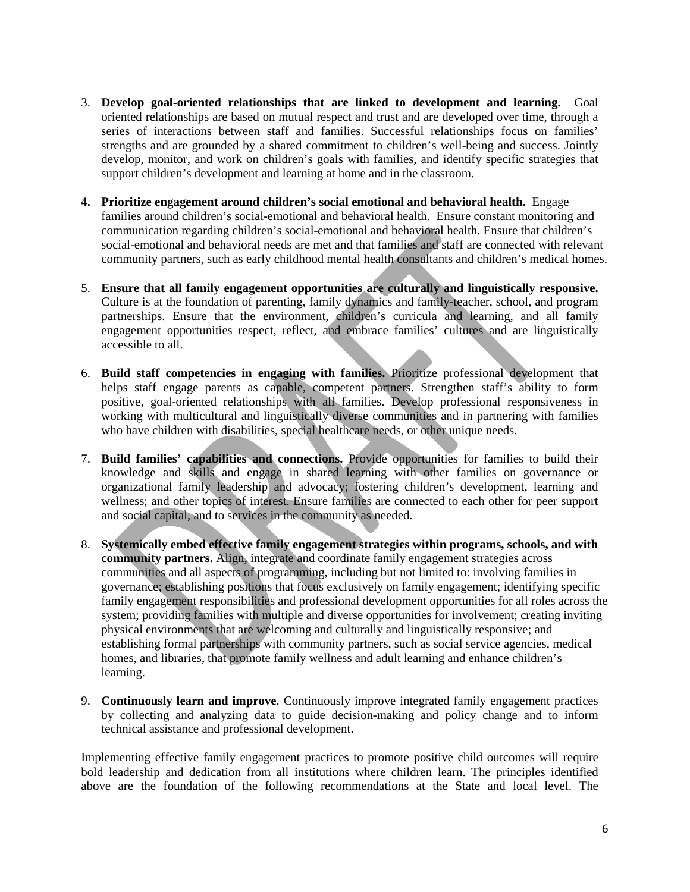- 3. **Develop goal-oriented relationships that are linked to development and learning.** Goal oriented relationships are based on mutual respect and trust and are developed over time, through a series of interactions between staff and families. Successful relationships focus on families' strengths and are grounded by a shared commitment to children's well-being and success. Jointly develop, monitor, and work on children's goals with families, and identify specific strategies that support children's development and learning at home and in the classroom.
- **4. Prioritize engagement around children's social emotional and behavioral health.** Engage families around children's social-emotional and behavioral health. Ensure constant monitoring and communication regarding children's social-emotional and behavioral health. Ensure that children's social-emotional and behavioral needs are met and that families and staff are connected with relevant community partners, such as early childhood mental health consultants and children's medical homes.
- 5. **Ensure that all family engagement opportunities are culturally and linguistically responsive.** Culture is at the foundation of parenting, family dynamics and family-teacher, school, and program partnerships. Ensure that the environment, children's curricula and learning, and all family engagement opportunities respect, reflect, and embrace families' cultures and are linguistically accessible to all.
- 6. **Build staff competencies in engaging with families.** Prioritize professional development that helps staff engage parents as capable, competent partners. Strengthen staff's ability to form positive, goal-oriented relationships with all families. Develop professional responsiveness in working with multicultural and linguistically diverse communities and in partnering with families who have children with disabilities, special healthcare needs, or other unique needs.
- 7. **Build families' capabilities and connections.** Provide opportunities for families to build their knowledge and skills and engage in shared learning with other families on governance or organizational family leadership and advocacy; fostering children's development, learning and wellness; and other topics of interest. Ensure families are connected to each other for peer support and social capital, and to services in the community as needed.
- 8. **Systemically embed effective family engagement strategies within programs, schools, and with community partners.** Align, integrate and coordinate family engagement strategies across communities and all aspects of programming, including but not limited to: involving families in governance; establishing positions that focus exclusively on family engagement; identifying specific family engagement responsibilities and professional development opportunities for all roles across the system; providing families with multiple and diverse opportunities for involvement; creating inviting physical environments that are welcoming and culturally and linguistically responsive; and establishing formal partnerships with community partners, such as social service agencies, medical homes, and libraries, that promote family wellness and adult learning and enhance children's learning.
- 9. **Continuously learn and improve**. Continuously improve integrated family engagement practices by collecting and analyzing data to guide decision-making and policy change and to inform technical assistance and professional development.

Implementing effective family engagement practices to promote positive child outcomes will require bold leadership and dedication from all institutions where children learn. The principles identified above are the foundation of the following recommendations at the State and local level. The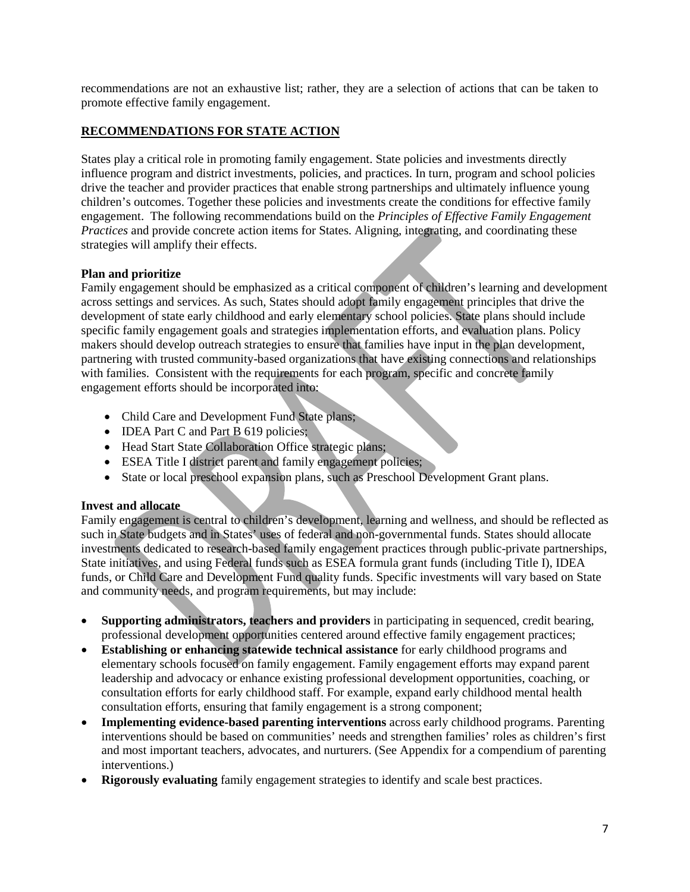recommendations are not an exhaustive list; rather, they are a selection of actions that can be taken to promote effective family engagement.

# **RECOMMENDATIONS FOR STATE ACTION**

States play a critical role in promoting family engagement. State policies and investments directly influence program and district investments, policies, and practices. In turn, program and school policies drive the teacher and provider practices that enable strong partnerships and ultimately influence young children's outcomes. Together these policies and investments create the conditions for effective family engagement. The following recommendations build on the *Principles of Effective Family Engagement Practices* and provide concrete action items for States. Aligning, integrating, and coordinating these strategies will amplify their effects.

#### **Plan and prioritize**

Family engagement should be emphasized as a critical component of children's learning and development across settings and services. As such, States should adopt family engagement principles that drive the development of state early childhood and early elementary school policies. State plans should include specific family engagement goals and strategies implementation efforts, and evaluation plans. Policy makers should develop outreach strategies to ensure that families have input in the plan development, partnering with trusted community-based organizations that have existing connections and relationships with families. Consistent with the requirements for each program, specific and concrete family engagement efforts should be incorporated into:

- Child Care and Development Fund State plans;
- **IDEA Part C and Part B 619 policies;**
- Head Start State Collaboration Office strategic plans;
- ESEA Title I district parent and family engagement policies;
- State or local preschool expansion plans, such as Preschool Development Grant plans.

#### **Invest and allocate**

Family engagement is central to children's development, learning and wellness, and should be reflected as such in State budgets and in States' uses of federal and non-governmental funds. States should allocate investments dedicated to research-based family engagement practices through public-private partnerships, State initiatives, and using Federal funds such as ESEA formula grant funds (including Title I), IDEA funds, or Child Care and Development Fund quality funds. Specific investments will vary based on State and community needs, and program requirements, but may include:

- **Supporting administrators, teachers and providers** in participating in sequenced, credit bearing, professional development opportunities centered around effective family engagement practices;
- **Establishing or enhancing statewide technical assistance** for early childhood programs and elementary schools focused on family engagement. Family engagement efforts may expand parent leadership and advocacy or enhance existing professional development opportunities, coaching, or consultation efforts for early childhood staff. For example, expand early childhood mental health consultation efforts, ensuring that family engagement is a strong component;
- **Implementing evidence-based parenting interventions** across early childhood programs. Parenting interventions should be based on communities' needs and strengthen families' roles as children's first and most important teachers, advocates, and nurturers. (See Appendix for a compendium of parenting interventions.)
- **Rigorously evaluating** family engagement strategies to identify and scale best practices.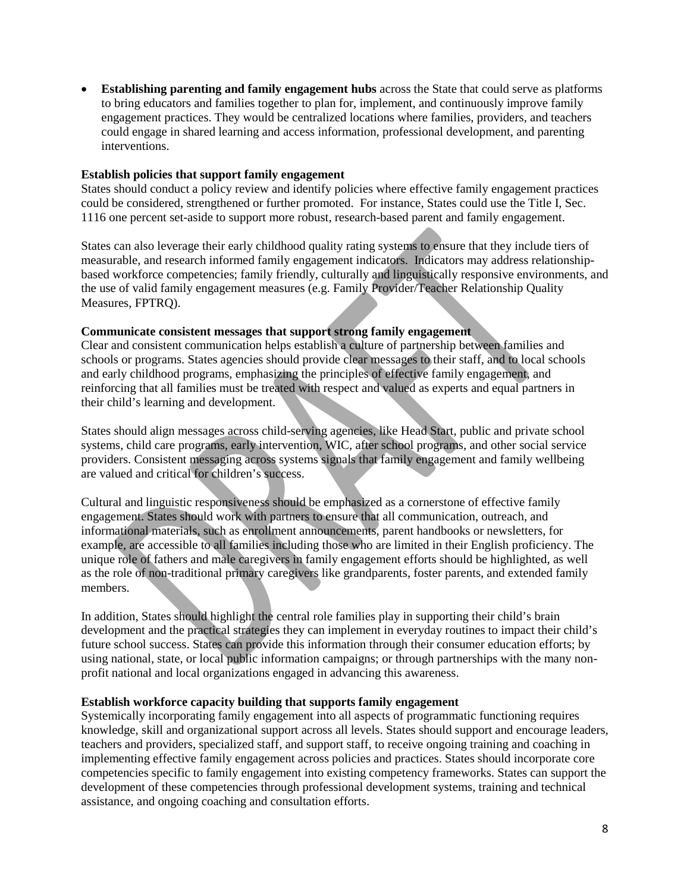• **Establishing parenting and family engagement hubs** across the State that could serve as platforms to bring educators and families together to plan for, implement, and continuously improve family engagement practices. They would be centralized locations where families, providers, and teachers could engage in shared learning and access information, professional development, and parenting interventions.

#### **Establish policies that support family engagement**

States should conduct a policy review and identify policies where effective family engagement practices could be considered, strengthened or further promoted. For instance, States could use the Title I, Sec. 1116 one percent set-aside to support more robust, research-based parent and family engagement.

States can also leverage their early childhood quality rating systems to ensure that they include tiers of measurable, and research informed family engagement indicators. Indicators may address relationshipbased workforce competencies; family friendly, culturally and linguistically responsive environments, and the use of valid family engagement measures (e.g. Family Provider/Teacher Relationship Quality Measures, FPTRQ).

#### **Communicate consistent messages that support strong family engagement**

Clear and consistent communication helps establish a culture of partnership between families and schools or programs. States agencies should provide clear messages to their staff, and to local schools and early childhood programs, emphasizing the principles of effective family engagement, and reinforcing that all families must be treated with respect and valued as experts and equal partners in their child's learning and development.

States should align messages across child-serving agencies, like Head Start, public and private school systems, child care programs, early intervention, WIC, after school programs, and other social service providers. Consistent messaging across systems signals that family engagement and family wellbeing are valued and critical for children's success.

Cultural and linguistic responsiveness should be emphasized as a cornerstone of effective family engagement. States should work with partners to ensure that all communication, outreach, and informational materials, such as enrollment announcements, parent handbooks or newsletters, for example, are accessible to all families including those who are limited in their English proficiency. The unique role of fathers and male caregivers in family engagement efforts should be highlighted, as well as the role of non-traditional primary caregivers like grandparents, foster parents, and extended family members.

In addition, States should highlight the central role families play in supporting their child's brain development and the practical strategies they can implement in everyday routines to impact their child's future school success. States can provide this information through their consumer education efforts; by using national, state, or local public information campaigns; or through partnerships with the many nonprofit national and local organizations engaged in advancing this awareness.

#### **Establish workforce capacity building that supports family engagement**

Systemically incorporating family engagement into all aspects of programmatic functioning requires knowledge, skill and organizational support across all levels. States should support and encourage leaders, teachers and providers, specialized staff, and support staff, to receive ongoing training and coaching in implementing effective family engagement across policies and practices. States should incorporate core competencies specific to family engagement into existing competency frameworks. States can support the development of these competencies through professional development systems, training and technical assistance, and ongoing coaching and consultation efforts.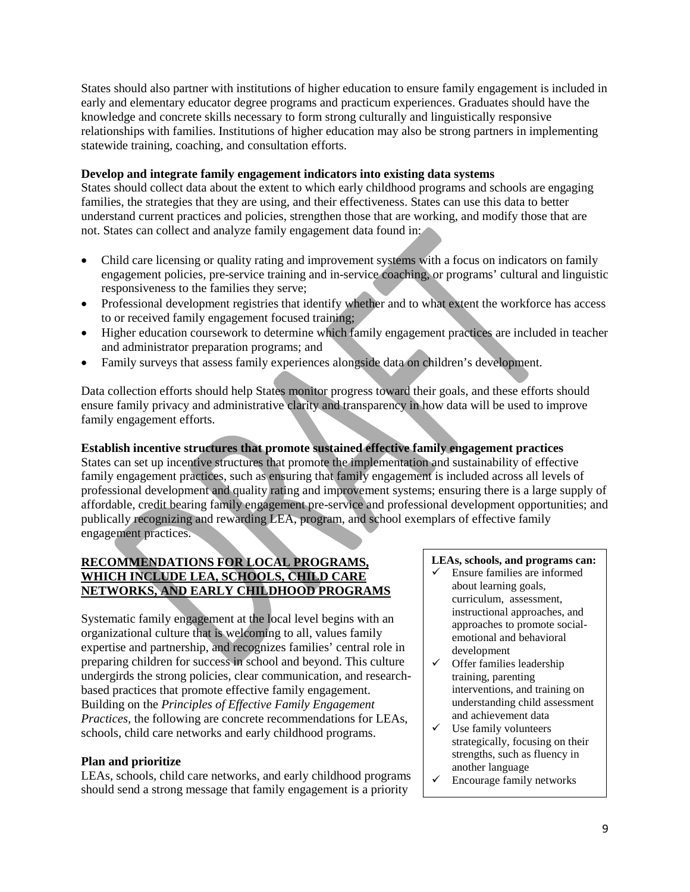States should also partner with institutions of higher education to ensure family engagement is included in early and elementary educator degree programs and practicum experiences. Graduates should have the knowledge and concrete skills necessary to form strong culturally and linguistically responsive relationships with families. Institutions of higher education may also be strong partners in implementing statewide training, coaching, and consultation efforts.

## **Develop and integrate family engagement indicators into existing data systems**

States should collect data about the extent to which early childhood programs and schools are engaging families, the strategies that they are using, and their effectiveness. States can use this data to better understand current practices and policies, strengthen those that are working, and modify those that are not. States can collect and analyze family engagement data found in:

- Child care licensing or quality rating and improvement systems with a focus on indicators on family engagement policies, pre-service training and in-service coaching, or programs' cultural and linguistic responsiveness to the families they serve;
- Professional development registries that identify whether and to what extent the workforce has access to or received family engagement focused training;
- Higher education coursework to determine which family engagement practices are included in teacher and administrator preparation programs; and
- Family surveys that assess family experiences alongside data on children's development.

Data collection efforts should help States monitor progress toward their goals, and these efforts should ensure family privacy and administrative clarity and transparency in how data will be used to improve family engagement efforts.

# **Establish incentive structures that promote sustained effective family engagement practices**

States can set up incentive structures that promote the implementation and sustainability of effective family engagement practices, such as ensuring that family engagement is included across all levels of professional development and quality rating and improvement systems; ensuring there is a large supply of affordable, credit bearing family engagement pre-service and professional development opportunities; and publically recognizing and rewarding LEA, program, and school exemplars of effective family engagement practices.

# **RECOMMENDATIONS FOR LOCAL PROGRAMS, WHICH INCLUDE LEA, SCHOOLS, CHILD CARE NETWORKS, AND EARLY CHILDHOOD PROGRAMS**

Systematic family engagement at the local level begins with an organizational culture that is welcoming to all, values family expertise and partnership, and recognizes families' central role in preparing children for success in school and beyond. This culture undergirds the strong policies, clear communication, and researchbased practices that promote effective family engagement. Building on the *Principles of Effective Family Engagement Practices,* the following are concrete recommendations for LEAs, schools, child care networks and early childhood programs.

#### **Plan and prioritize**

LEAs, schools, child care networks, and early childhood programs should send a strong message that family engagement is a priority

#### **LEAs, schools, and programs can:**

- $\checkmark$  Ensure families are informed about learning goals, curriculum, assessment, instructional approaches, and approaches to promote socialemotional and behavioral development
- $\checkmark$  Offer families leadership training, parenting interventions, and training on understanding child assessment and achievement data
- $\checkmark$  Use family volunteers strategically, focusing on their strengths, such as fluency in another language
- $\checkmark$  Encourage family networks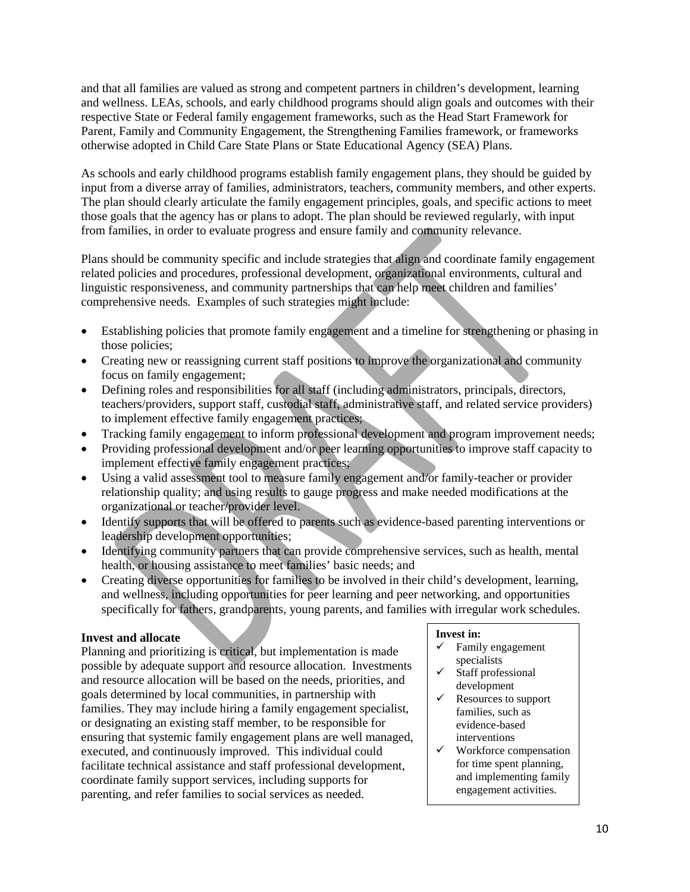and that all families are valued as strong and competent partners in children's development, learning and wellness. LEAs, schools, and early childhood programs should align goals and outcomes with their respective State or Federal family engagement frameworks, such as the Head Start Framework for Parent, Family and Community Engagement, the Strengthening Families framework, or frameworks otherwise adopted in Child Care State Plans or State Educational Agency (SEA) Plans.

As schools and early childhood programs establish family engagement plans, they should be guided by input from a diverse array of families, administrators, teachers, community members, and other experts. The plan should clearly articulate the family engagement principles, goals, and specific actions to meet those goals that the agency has or plans to adopt. The plan should be reviewed regularly, with input from families, in order to evaluate progress and ensure family and community relevance.

Plans should be community specific and include strategies that align and coordinate family engagement related policies and procedures, professional development, organizational environments, cultural and linguistic responsiveness, and community partnerships that can help meet children and families' comprehensive needs. Examples of such strategies might include:

- Establishing policies that promote family engagement and a timeline for strengthening or phasing in those policies;
- Creating new or reassigning current staff positions to improve the organizational and community focus on family engagement;
- Defining roles and responsibilities for all staff (including administrators, principals, directors, teachers/providers, support staff, custodial staff, administrative staff, and related service providers) to implement effective family engagement practices;
- Tracking family engagement to inform professional development and program improvement needs;
- Providing professional development and/or peer learning opportunities to improve staff capacity to implement effective family engagement practices;
- Using a valid assessment tool to measure family engagement and/or family-teacher or provider relationship quality; and using results to gauge progress and make needed modifications at the organizational or teacher/provider level.
- Identify supports that will be offered to parents such as evidence-based parenting interventions or leadership development opportunities;
- Identifying community partners that can provide comprehensive services, such as health, mental health, or housing assistance to meet families' basic needs; and
- Creating diverse opportunities for families to be involved in their child's development, learning, and wellness, including opportunities for peer learning and peer networking, and opportunities specifically for fathers, grandparents, young parents, and families with irregular work schedules.

#### **Invest and allocate**

Planning and prioritizing is critical, but implementation is made possible by adequate support and resource allocation. Investments and resource allocation will be based on the needs, priorities, and goals determined by local communities, in partnership with families. They may include hiring a family engagement specialist, or designating an existing staff member, to be responsible for ensuring that systemic family engagement plans are well managed, executed, and continuously improved. This individual could facilitate technical assistance and staff professional development, coordinate family support services, including supports for parenting, and refer families to social services as needed.

#### **Invest in:**

- $\checkmark$  Family engagement specialists
- $\checkmark$  Staff professional development
- $\checkmark$  Resources to support families, such as evidence-based interventions
- $\checkmark$  Workforce compensation for time spent planning, and implementing family engagement activities.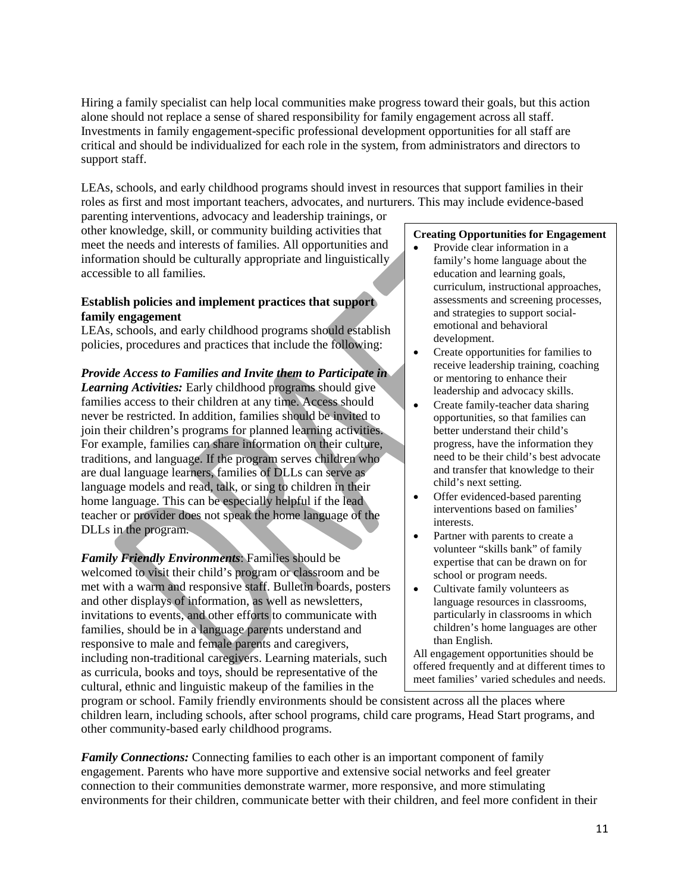Hiring a family specialist can help local communities make progress toward their goals, but this action alone should not replace a sense of shared responsibility for family engagement across all staff. Investments in family engagement-specific professional development opportunities for all staff are critical and should be individualized for each role in the system, from administrators and directors to support staff.

LEAs, schools, and early childhood programs should invest in resources that support families in their roles as first and most important teachers, advocates, and nurturers. This may include evidence-based parenting interventions, advocacy and leadership trainings, or

other knowledge, skill, or community building activities that meet the needs and interests of families. All opportunities and information should be culturally appropriate and linguistically accessible to all families.

# **Establish policies and implement practices that support family engagement**

LEAs, schools, and early childhood programs should establish policies, procedures and practices that include the following:

# *Provide Access to Families and Invite them to Participate in*

*Learning Activities:* Early childhood programs should give families access to their children at any time. Access should never be restricted. In addition, families should be invited to join their children's programs for planned learning activities. For example, families can share information on their culture, traditions, and language. If the program serves children who are dual language learners, families of DLLs can serve as language models and read, talk, or sing to children in their home language. This can be especially helpful if the lead teacher or provider does not speak the home language of the DLLs in the program.

*Family Friendly Environments*: Families should be welcomed to visit their child's program or classroom and be met with a warm and responsive staff. Bulletin boards, posters and other displays of information, as well as newsletters, invitations to events, and other efforts to communicate with families, should be in a language parents understand and responsive to male and female parents and caregivers, including non-traditional caregivers. Learning materials, such as curricula, books and toys, should be representative of the cultural, ethnic and linguistic makeup of the families in the

#### **Creating Opportunities for Engagement**

- Provide clear information in a family's home language about the education and learning goals, curriculum, instructional approaches, assessments and screening processes, and strategies to support socialemotional and behavioral development.
- Create opportunities for families to receive leadership training, coaching or mentoring to enhance their leadership and advocacy skills.
- Create family-teacher data sharing opportunities, so that families can better understand their child's progress, have the information they need to be their child's best advocate and transfer that knowledge to their child's next setting.
- Offer evidenced-based parenting interventions based on families' interests.
- Partner with parents to create a volunteer "skills bank" of family expertise that can be drawn on for school or program needs.
- Cultivate family volunteers as language resources in classrooms, particularly in classrooms in which children's home languages are other than English.

All engagement opportunities should be offered frequently and at different times to meet families' varied schedules and needs.

program or school. Family friendly environments should be consistent across all the places where children learn, including schools, after school programs, child care programs, Head Start programs, and other community-based early childhood programs.

*Family Connections:* Connecting families to each other is an important component of family engagement. Parents who have more supportive and extensive social networks and feel greater connection to their communities demonstrate warmer, more responsive, and more stimulating environments for their children, communicate better with their children, and feel more confident in their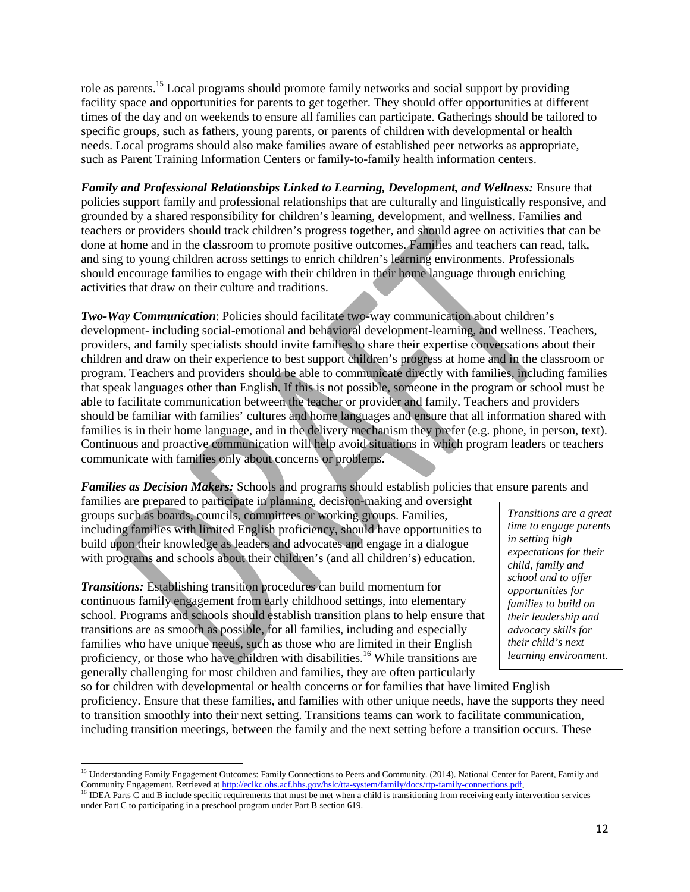role as parents.<sup>15</sup> Local programs should promote family networks and social support by providing facility space and opportunities for parents to get together. They should offer opportunities at different times of the day and on weekends to ensure all families can participate. Gatherings should be tailored to specific groups, such as fathers, young parents, or parents of children with developmental or health needs. Local programs should also make families aware of established peer networks as appropriate, such as Parent Training Information Centers or family-to-family health information centers.

*Family and Professional Relationships Linked to Learning, Development, and Wellness:* Ensure that policies support family and professional relationships that are culturally and linguistically responsive, and grounded by a shared responsibility for children's learning, development, and wellness. Families and teachers or providers should track children's progress together, and should agree on activities that can be done at home and in the classroom to promote positive outcomes. Families and teachers can read, talk, and sing to young children across settings to enrich children's learning environments. Professionals should encourage families to engage with their children in their home language through enriching activities that draw on their culture and traditions.

*Two-Way Communication*: Policies should facilitate two-way communication about children's development- including social-emotional and behavioral development-learning, and wellness. Teachers, providers, and family specialists should invite families to share their expertise conversations about their children and draw on their experience to best support children's progress at home and in the classroom or program. Teachers and providers should be able to communicate directly with families, including families that speak languages other than English. If this is not possible, someone in the program or school must be able to facilitate communication between the teacher or provider and family. Teachers and providers should be familiar with families' cultures and home languages and ensure that all information shared with families is in their home language, and in the delivery mechanism they prefer (e.g. phone, in person, text). Continuous and proactive communication will help avoid situations in which program leaders or teachers communicate with families only about concerns or problems.

*Families as Decision Makers:* Schools and programs should establish policies that ensure parents and

families are prepared to participate in planning, decision-making and oversight groups such as boards, councils, committees or working groups. Families, including families with limited English proficiency, should have opportunities to build upon their knowledge as leaders and advocates and engage in a dialogue with programs and schools about their children's (and all children's) education.

*Transitions:* Establishing transition procedures can build momentum for continuous family engagement from early childhood settings, into elementary school. Programs and schools should establish transition plans to help ensure that transitions are as smooth as possible, for all families, including and especially families who have unique needs, such as those who are limited in their English proficiency, or those who have children with disabilities.<sup>16</sup> While transitions are generally challenging for most children and families, they are often particularly

*Transitions are a great time to engage parents in setting high expectations for their child, family and school and to offer opportunities for families to build on their leadership and advocacy skills for their child's next learning environment.* 

so for children with developmental or health concerns or for families that have limited English proficiency. Ensure that these families, and families with other unique needs, have the supports they need to transition smoothly into their next setting. Transitions teams can work to facilitate communication, including transition meetings, between the family and the next setting before a transition occurs. These

<sup>&</sup>lt;sup>15</sup> Understanding Family Engagement Outcomes: Family Connections to Peers and Community. (2014). National Center for Parent, Family and Community Engagement. Retrieved at http://eclkc.ohs.acf.hhs.gov/hslc/tta-system/family/docs/rtp-family-connections.pdf.<br><sup>16</sup> IDEA Parts C and B include specific requirements that must be met when a child is transitioning f  $\overline{\phantom{a}}$ 

under Part C to participating in a preschool program under Part B section 619.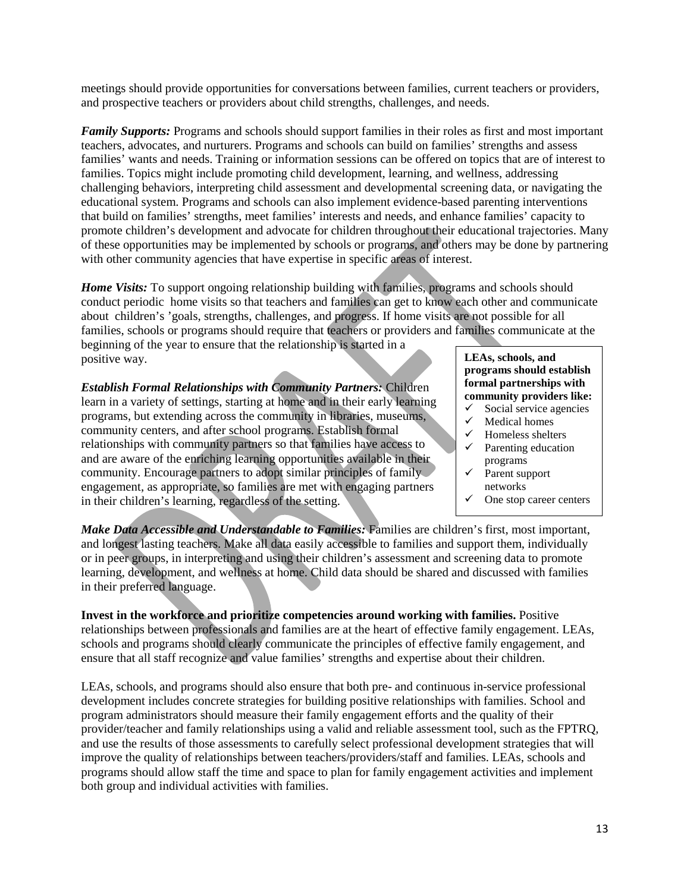meetings should provide opportunities for conversations between families, current teachers or providers, and prospective teachers or providers about child strengths, challenges, and needs.

*Family Supports:* Programs and schools should support families in their roles as first and most important teachers, advocates, and nurturers. Programs and schools can build on families' strengths and assess families' wants and needs. Training or information sessions can be offered on topics that are of interest to families. Topics might include promoting child development, learning, and wellness, addressing challenging behaviors, interpreting child assessment and developmental screening data, or navigating the educational system. Programs and schools can also implement evidence-based parenting interventions that build on families' strengths, meet families' interests and needs, and enhance families' capacity to promote children's development and advocate for children throughout their educational trajectories. Many of these opportunities may be implemented by schools or programs, and others may be done by partnering with other community agencies that have expertise in specific areas of interest.

*Home Visits:* To support ongoing relationship building with families, programs and schools should conduct periodic home visits so that teachers and families can get to know each other and communicate about children's 'goals, strengths, challenges, and progress. If home visits are not possible for all families, schools or programs should require that teachers or providers and families communicate at the

beginning of the year to ensure that the relationship is started in a positive way.

*Establish Formal Relationships with Community Partners:* Children learn in a variety of settings, starting at home and in their early learning programs, but extending across the community in libraries, museums, community centers, and after school programs. Establish formal relationships with community partners so that families have access to and are aware of the enriching learning opportunities available in their community. Encourage partners to adopt similar principles of family engagement, as appropriate, so families are met with engaging partners in their children's learning, regardless of the setting.

#### **LEAs, schools, and programs should establish formal partnerships with community providers like:**

- $\checkmark$  Social service agencies<br> $\checkmark$  Medical homes
- Medical homes
- $\checkmark$  Homeless shelters
- $\checkmark$  Parenting education programs
- Parent support networks
- One stop career centers

*Make Data Accessible and Understandable to Families:* Families are children's first, most important, and longest lasting teachers. Make all data easily accessible to families and support them, individually or in peer groups, in interpreting and using their children's assessment and screening data to promote learning, development, and wellness at home. Child data should be shared and discussed with families in their preferred language.

**Invest in the workforce and prioritize competencies around working with families.** Positive relationships between professionals and families are at the heart of effective family engagement. LEAs, schools and programs should clearly communicate the principles of effective family engagement, and ensure that all staff recognize and value families' strengths and expertise about their children.

LEAs, schools, and programs should also ensure that both pre- and continuous in-service professional development includes concrete strategies for building positive relationships with families. School and program administrators should measure their family engagement efforts and the quality of their provider/teacher and family relationships using a valid and reliable assessment tool, such as the FPTRQ, and use the results of those assessments to carefully select professional development strategies that will improve the quality of relationships between teachers/providers/staff and families. LEAs, schools and programs should allow staff the time and space to plan for family engagement activities and implement both group and individual activities with families.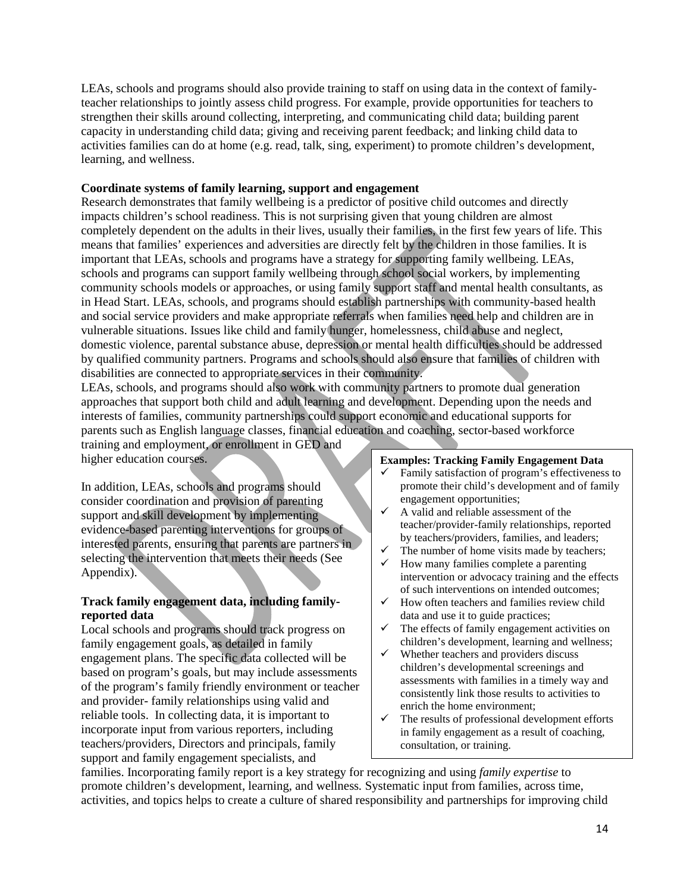LEAs, schools and programs should also provide training to staff on using data in the context of familyteacher relationships to jointly assess child progress. For example, provide opportunities for teachers to strengthen their skills around collecting, interpreting, and communicating child data; building parent capacity in understanding child data; giving and receiving parent feedback; and linking child data to activities families can do at home (e.g. read, talk, sing, experiment) to promote children's development, learning, and wellness.

## **Coordinate systems of family learning, support and engagement**

Research demonstrates that family wellbeing is a predictor of positive child outcomes and directly impacts children's school readiness. This is not surprising given that young children are almost completely dependent on the adults in their lives, usually their families, in the first few years of life. This means that families' experiences and adversities are directly felt by the children in those families. It is important that LEAs, schools and programs have a strategy for supporting family wellbeing. LEAs, schools and programs can support family wellbeing through school social workers, by implementing community schools models or approaches, or using family support staff and mental health consultants, as in Head Start. LEAs, schools, and programs should establish partnerships with community-based health and social service providers and make appropriate referrals when families need help and children are in vulnerable situations. Issues like child and family hunger, homelessness, child abuse and neglect, domestic violence, parental substance abuse, depression or mental health difficulties should be addressed by qualified community partners. Programs and schools should also ensure that families of children with disabilities are connected to appropriate services in their community.

LEAs, schools, and programs should also work with community partners to promote dual generation approaches that support both child and adult learning and development. Depending upon the needs and interests of families, community partnerships could support economic and educational supports for parents such as English language classes, financial education and coaching, sector-based workforce

training and employment, or enrollment in GED and higher education courses.

In addition, LEAs, schools and programs should consider coordination and provision of parenting support and skill development by implementing evidence-based parenting interventions for groups of interested parents, ensuring that parents are partners in selecting the intervention that meets their needs (See Appendix).

## **Track family engagement data, including familyreported data**

Local schools and programs should track progress on family engagement goals, as detailed in family engagement plans. The specific data collected will be based on program's goals, but may include assessments of the program's family friendly environment or teacher and provider- family relationships using valid and reliable tools. In collecting data, it is important to incorporate input from various reporters, including teachers/providers, Directors and principals, family support and family engagement specialists, and

#### **Examples: Tracking Family Engagement Data**

- Family satisfaction of program's effectiveness to promote their child's development and of family engagement opportunities;
- $\checkmark$  A valid and reliable assessment of the teacher/provider-family relationships, reported by teachers/providers, families, and leaders;
- $\checkmark$  The number of home visits made by teachers;<br> $\checkmark$  How many families complete a parenting
- How many families complete a parenting intervention or advocacy training and the effects of such interventions on intended outcomes;
- $\checkmark$  How often teachers and families review child data and use it to guide practices;
- $\checkmark$  The effects of family engagement activities on children's development, learning and wellness;
- $\checkmark$  Whether teachers and providers discuss children's developmental screenings and assessments with families in a timely way and consistently link those results to activities to enrich the home environment;
- $\checkmark$  The results of professional development efforts in family engagement as a result of coaching, consultation, or training.

families. Incorporating family report is a key strategy for recognizing and using *family expertise* to promote children's development, learning, and wellness*.* Systematic input from families, across time, activities, and topics helps to create a culture of shared responsibility and partnerships for improving child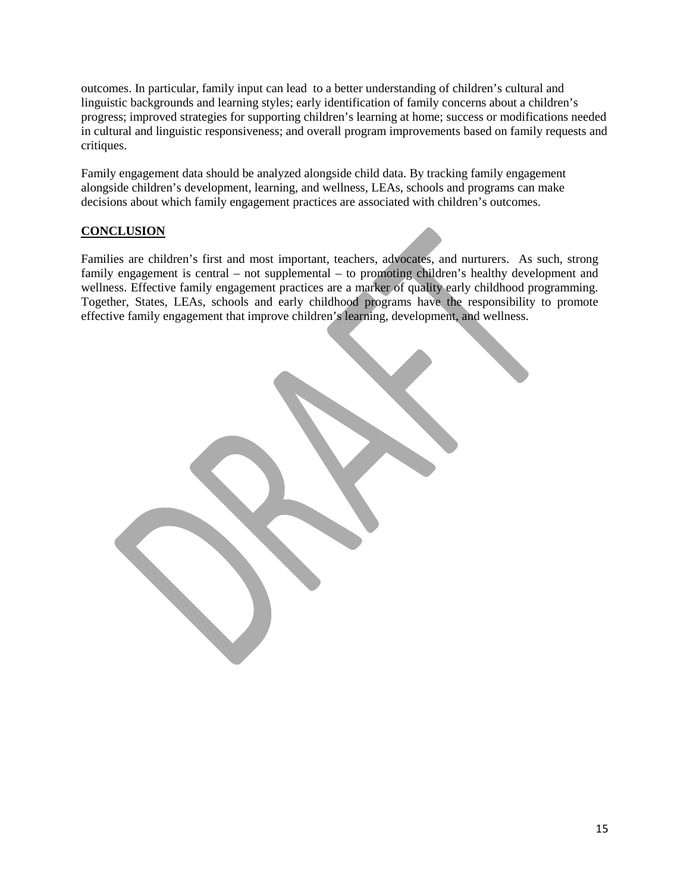outcomes. In particular, family input can lead to a better understanding of children's cultural and linguistic backgrounds and learning styles; early identification of family concerns about a children's progress; improved strategies for supporting children's learning at home; success or modifications needed in cultural and linguistic responsiveness; and overall program improvements based on family requests and critiques.

Family engagement data should be analyzed alongside child data. By tracking family engagement alongside children's development, learning, and wellness, LEAs, schools and programs can make decisions about which family engagement practices are associated with children's outcomes.

# **CONCLUSION**

Families are children's first and most important, teachers, advocates, and nurturers. As such, strong family engagement is central – not supplemental – to promoting children's healthy development and wellness. Effective family engagement practices are a marker of quality early childhood programming. Together, States, LEAs, schools and early childhood programs have the responsibility to promote effective family engagement that improve children's learning, development, and wellness.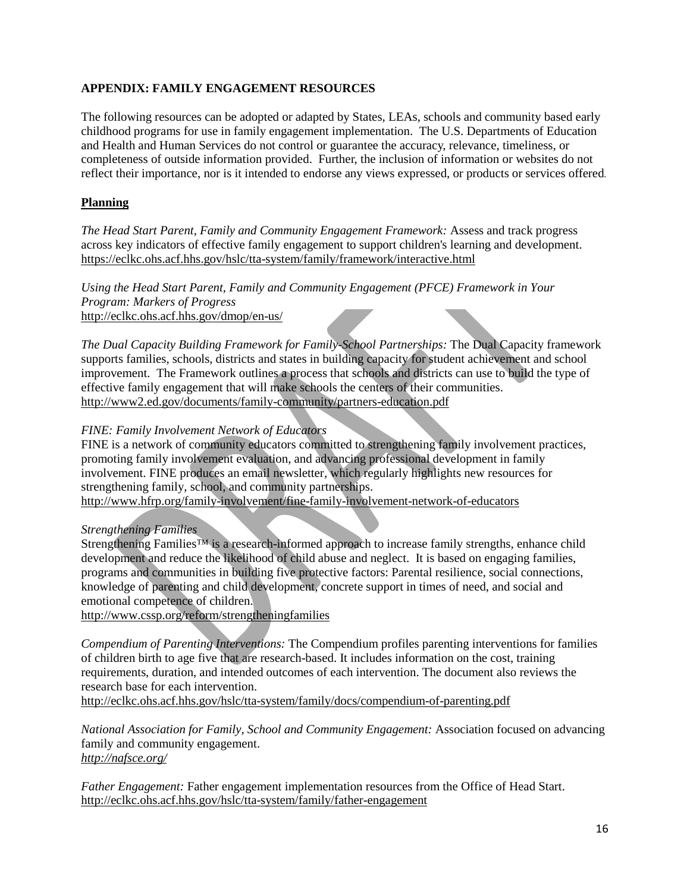## **APPENDIX: FAMILY ENGAGEMENT RESOURCES**

The following resources can be adopted or adapted by States, LEAs, schools and community based early childhood programs for use in family engagement implementation. The U.S. Departments of Education and Health and Human Services do not control or guarantee the accuracy, relevance, timeliness, or completeness of outside information provided. Further, the inclusion of information or websites do not reflect their importance, nor is it intended to endorse any views expressed, or products or services offered.

# **Planning**

*The Head Start Parent, Family and Community Engagement Framework:* Assess and track progress across key indicators of effective family engagement to support children's learning and development. <https://eclkc.ohs.acf.hhs.gov/hslc/tta-system/family/framework/interactive.html>

*Using the Head Start Parent, Family and Community Engagement (PFCE) Framework in Your Program: Markers of Progress* <http://eclkc.ohs.acf.hhs.gov/dmop/en-us/>

*The Dual Capacity Building Framework for Family-School Partnerships:* The Dual Capacity framework supports families, schools, districts and states in building capacity for student achievement and school improvement. The Framework outlines a process that schools and districts can use to build the type of effective family engagement that will make schools the centers of their communities. <http://www2.ed.gov/documents/family-community/partners-education.pdf>

#### *FINE: Family Involvement Network of Educators*

FINE is a network of community educators committed to strengthening family involvement practices, promoting family involvement evaluation, and advancing professional development in family involvement. FINE produces an email newsletter, which regularly highlights new resources for strengthening family, school, and community partnerships.

<http://www.hfrp.org/family-involvement/fine-family-involvement-network-of-educators>

### *Strengthening Families*

Strengthening Families<sup>™</sup> is a research-informed approach to increase family strengths, enhance child development and reduce the likelihood of child abuse and neglect. It is based on engaging families, programs and communities in building five protective factors: Parental resilience, social connections, knowledge of parenting and child development, concrete support in times of need, and social and emotional competence of children.

<http://www.cssp.org/reform/strengtheningfamilies>

*Compendium of Parenting Interventions:* The Compendium profiles parenting interventions for families of children birth to age five that are research-based. It includes information on the cost, training requirements, duration, and intended outcomes of each intervention. The document also reviews the research base for each intervention.

<http://eclkc.ohs.acf.hhs.gov/hslc/tta-system/family/docs/compendium-of-parenting.pdf>

*National Association for Family, School and Community Engagement:* Association focused on advancing family and community engagement. *<http://nafsce.org/>*

*Father Engagement:* Father engagement implementation resources from the Office of Head Start. <http://eclkc.ohs.acf.hhs.gov/hslc/tta-system/family/father-engagement>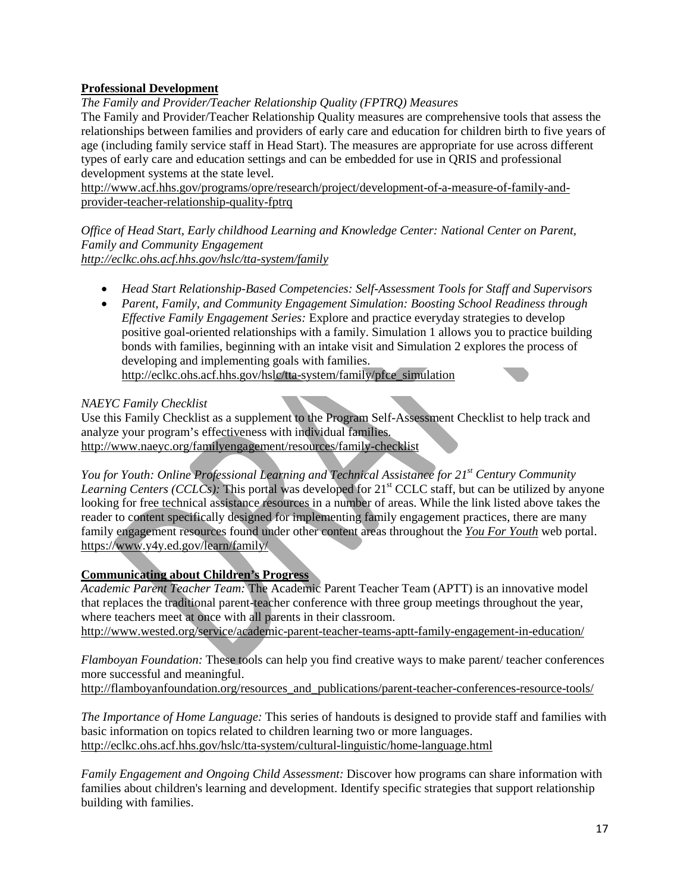# **Professional Development**

*The Family and Provider/Teacher Relationship Quality (FPTRQ) Measures*

The Family and Provider/Teacher Relationship Quality measures are comprehensive tools that assess the relationships between families and providers of early care and education for children birth to five years of age (including family service staff in Head Start). The measures are appropriate for use across different types of early care and education settings and can be embedded for use in QRIS and professional development systems at the state level.

[http://www.acf.hhs.gov/programs/opre/research/project/development-of-a-measure-of-family-and](http://www.acf.hhs.gov/programs/opre/research/project/development-of-a-measure-of-family-and-provider-teacher-relationship-quality-fptrq)[provider-teacher-relationship-quality-fptrq](http://www.acf.hhs.gov/programs/opre/research/project/development-of-a-measure-of-family-and-provider-teacher-relationship-quality-fptrq)

*Office of Head Start, Early childhood Learning and Knowledge Center: National Center on Parent, Family and Community Engagement <http://eclkc.ohs.acf.hhs.gov/hslc/tta-system/family>*

- *Head Start Relationship-Based Competencies: Self-Assessment Tools for Staff and Supervisors*
- *Parent, Family, and Community Engagement Simulation: Boosting School Readiness through Effective Family Engagement Series:* Explore and practice everyday strategies to develop positive goal-oriented relationships with a family. Simulation 1 allows you to practice building bonds with families, beginning with an intake visit and Simulation 2 explores the process of developing and implementing goals with families. [http://eclkc.ohs.acf.hhs.gov/hslc/tta-system/family/pfce\\_simulation](http://eclkc.ohs.acf.hhs.gov/hslc/tta-system/family/pfce_simulation)

# *NAEYC Family Checklist*

Use this Family Checklist as a supplement to the [Program Self-Assessment Checklist](http://www.naeyc.org/familyengagement/resources/self-assessment-checklist) to help track and analyze your program's effectiveness with individual families*.* <http://www.naeyc.org/familyengagement/resources/family-checklist>

*You for Youth: Online Professional Learning and Technical Assistance for 21<sup>st</sup> Century Community Learning Centers (CCLCs):* This portal was developed for 21<sup>st</sup> CCLC staff, but can be utilized by anyone looking for free technical assistance resources in a number of areas. While the link listed above takes the reader to content specifically designed for implementing family engagement practices, there are many family engagement resources found under other content areas throughout the *[You For Youth](https://www.y4y.ed.gov/)* web portal. <https://www.y4y.ed.gov/learn/family/>

# **Communicating about Children's Progress**

*Academic Parent Teacher Team:* The Academic Parent Teacher Team (APTT) is an innovative model that replaces the traditional parent-teacher conference with three group meetings throughout the year, where teachers meet at once with all parents in their classroom. <http://www.wested.org/service/academic-parent-teacher-teams-aptt-family-engagement-in-education/>

*Flamboyan Foundation:* These tools can help you find creative ways to make parent/ teacher conferences more successful and meaningful.

[http://flamboyanfoundation.org/resources\\_and\\_publications/parent-teacher-conferences-resource-tools/](http://flamboyanfoundation.org/resources_and_publications/parent-teacher-conferences-resource-tools/)

*The Importance of Home Language:* This series of handouts is designed to provide staff and families with basic information on topics related to children learning two or more languages. [http://eclkc.ohs.acf.hhs.gov/hslc/tta-system/cultural-linguistic/home-language.html](http://eclkc.ohs.acf.hhs.gov/hslc/tta-system/family/school-readiness/engage-readiness.html)

*Family Engagement and Ongoing Child Assessment:* Discover how programs can share information with families about children's learning and development. Identify specific strategies that support relationship building with families.